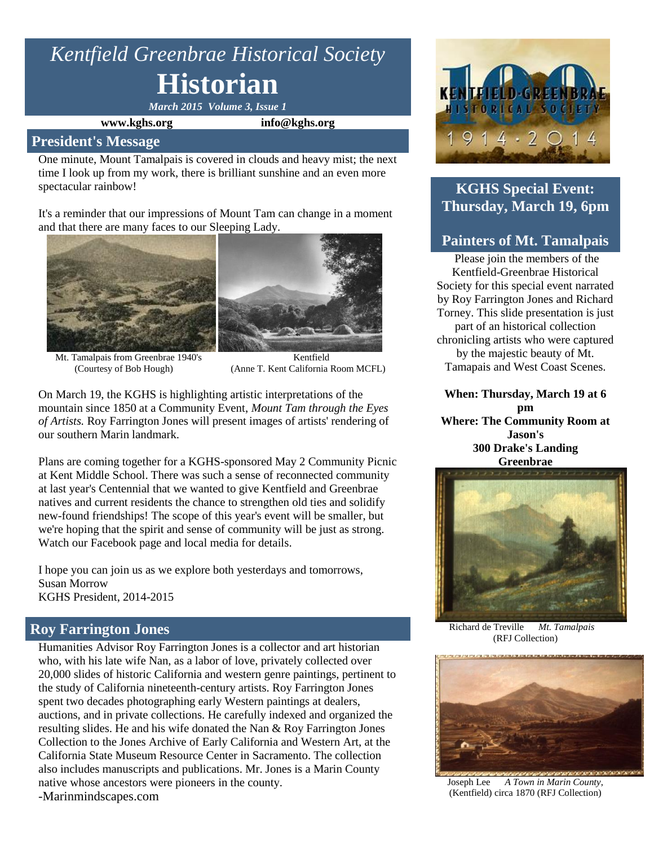# *Kentfield Greenbrae Historical Society* **Historian**

*March 2015 Volume 3, Issue 1*

**www.kghs.org info@kghs.org**

#### **President's Message**

One minute, Mount Tamalpais is covered in clouds and heavy mist; the next time I look up from my work, there is brilliant sunshine and an even more spectacular rainbow!

It's a reminder that our impressions of Mount Tam can change in a moment and that there are many faces to our Sleeping Lady.





Mt. Tamalpais from Greenbrae 1940's Kentfield

(Courtesy of Bob Hough) (Anne T. Kent California Room MCFL)

On March 19, the KGHS is highlighting artistic interpretations of the mountain since 1850 at a Community Event, *Mount Tam through the Eyes of Artists.* Roy Farrington Jones will present images of artists' rendering of our southern Marin landmark.

Plans are coming together for a KGHS-sponsored May 2 Community Picnic at Kent Middle School. There was such a sense of reconnected community at last year's Centennial that we wanted to give Kentfield and Greenbrae natives and current residents the chance to strengthen old ties and solidify new-found friendships! The scope of this year's event will be smaller, but we're hoping that the spirit and sense of community will be just as strong. Watch our Facebook page and local media for details.

I hope you can join us as we explore both yesterdays and tomorrows, Susan Morrow KGHS President, 2014-2015

#### **Roy Farrington Jones**

Humanities Advisor Roy Farrington Jones is a collector and art historian who, with his late wife Nan, as a labor of love, privately collected over 20,000 slides of historic California and western genre paintings, pertinent to the study of California nineteenth-century artists. Roy Farrington Jones spent two decades photographing early Western paintings at dealers, auctions, and in private collections. He carefully indexed and organized the resulting slides. He and his wife donated the Nan & Roy Farrington Jones Collection to the Jones Archive of Early California and Western Art, at the California State Museum Resource Center in Sacramento. The collection also includes manuscripts and publications. Mr. Jones is a Marin County native whose ancestors were pioneers in the county.

-Marinmindscapes.com



# **KGHS Special Event: Thursday, March 19, 6pm**

## **Painters of Mt. Tamalpais**

Please join the members of the Kentfield-Greenbrae Historical Society for this special event narrated by Roy Farrington Jones and Richard Torney. This slide presentation is just part of an historical collection chronicling artists who were captured by the majestic beauty of Mt. Tamapais and West Coast Scenes.

**When: Thursday, March 19 at 6 pm Where: The Community Room at Jason's 300 Drake's Landing Greenbrae**



Richard de Treville *Mt. Tamalpais* (RFJ Collection)



Joseph Lee *A Town in Marin County*, (Kentfield) circa 1870 (RFJ Collection)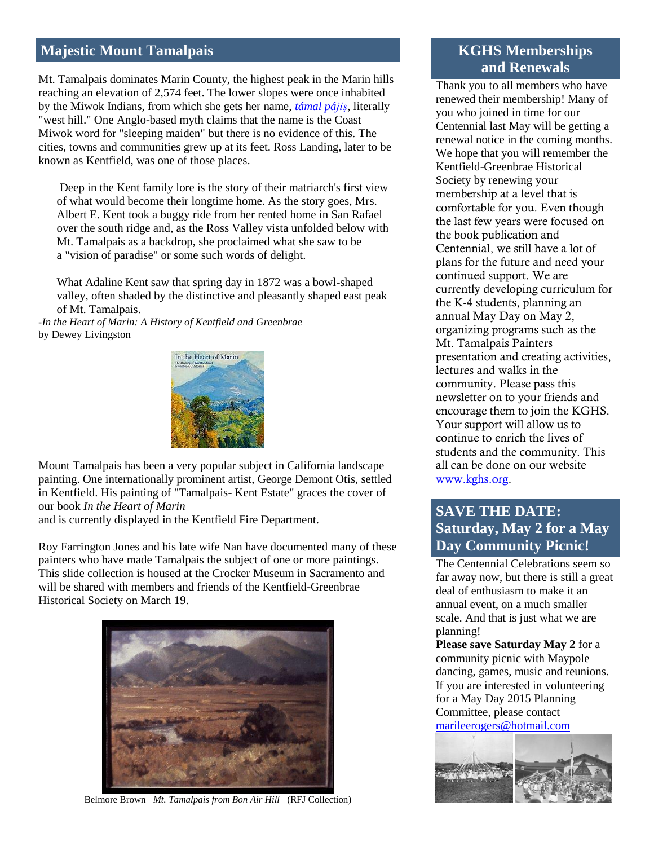## **Majestic Mount Tamalpais**

Mt. Tamalpais dominates Marin County, the highest peak in the Marin hills reaching an elevation of 2,574 feet. The lower slopes were once inhabited by the Miwok Indians, from which she gets her name, *[támal pájiṣ](http://en.wiktionary.org/wiki/t%C3%A1mal_p%C3%A1ji%E1%B9%A3)*, literally "west hill." One Anglo-based myth claims that the name is the Coast Miwok word for "sleeping maiden" but there is no evidence of this. The cities, towns and communities grew up at its feet. Ross Landing, later to be known as Kentfield, was one of those places.

Deep in the Kent family lore is the story of their matriarch's first view of what would become their longtime home. As the story goes, Mrs. Albert E. Kent took a buggy ride from her rented home in San Rafael over the south ridge and, as the Ross Valley vista unfolded below with Mt. Tamalpais as a backdrop, she proclaimed what she saw to be a "vision of paradise" or some such words of delight.

What Adaline Kent saw that spring day in 1872 was a bowl-shaped valley, often shaded by the distinctive and pleasantly shaped east peak of Mt. Tamalpais.

*-In the Heart of Marin: A History of Kentfield and Greenbrae* by Dewey Livingston



Mount Tamalpais has been a very popular subject in California landscape painting. One internationally prominent artist, George Demont Otis, settled in Kentfield. His painting of "Tamalpais- Kent Estate" graces the cover of our book *In the Heart of Marin*

and is currently displayed in the Kentfield Fire Department.

Roy Farrington Jones and his late wife Nan have documented many of these painters who have made Tamalpais the subject of one or more paintings. This slide collection is housed at the Crocker Museum in Sacramento and will be shared with members and friends of the Kentfield-Greenbrae Historical Society on March 19.



Belmore Brown *Mt. Tamalpais from Bon Air Hill* (RFJ Collection)

# **KGHS Memberships and Renewals**

Thank you to all members who have renewed their membership! Many of you who joined in time for our Centennial last May will be getting a renewal notice in the coming months. We hope that you will remember the Kentfield-Greenbrae Historical Society by renewing your membership at a level that is comfortable for you. Even though the last few years were focused on the book publication and Centennial, we still have a lot of plans for the future and need your continued support. We are currently developing curriculum for the K-4 students, planning an annual May Day on May 2, organizing programs such as the Mt. Tamalpais Painters presentation and creating activities, lectures and walks in the community. Please pass this newsletter on to your friends and encourage them to join the KGHS. Your support will allow us to continue to enrich the lives of students and the community. This all can be done on our website [www.kghs.org.](http://www.kghs.org/)

## **SAVE THE DATE: Saturday, May 2 for a May Day Community Picnic!**

The Centennial Celebrations seem so far away now, but there is still a great deal of enthusiasm to make it an annual event, on a much smaller scale. And that is just what we are planning!

**Please save Saturday May 2** for a community picnic with Maypole dancing, games, music and reunions. If you are interested in volunteering for a May Day 2015 Planning Committee, please contact [marileerogers@hotmail.com](mailto:marileerogers@hotmail.com)